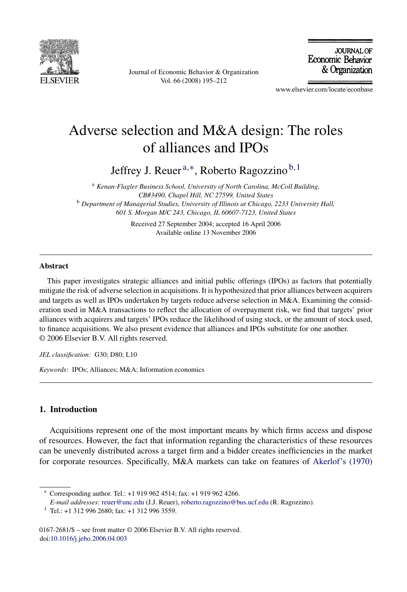

Journal of Economic Behavior & Organization Vol. 66 (2008) 195–212

**JOURNAL OF** Economic Behavior & Organization

www.elsevier.com/locate/econbase

## Adverse selection and M&A design: The roles of alliances and IPOs

Jeffrey J. Reuer<sup>a,\*</sup>, Roberto Ragozzino<sup>b,1</sup>

<sup>a</sup> *Kenan-Flagler Business School, University of North Carolina, McColl Building, CB#3490, Chapel Hill, NC 27599, United States* <sup>b</sup> *Department of Managerial Studies, University of Illinois at Chicago, 2233 University Hall, 601 S. Morgan M/C 243, Chicago, IL 60607-7123, United States*

> Received 27 September 2004; accepted 16 April 2006 Available online 13 November 2006

## **Abstract**

This paper investigates strategic alliances and initial public offerings (IPOs) as factors that potentially mitigate the risk of adverse selection in acquisitions. It is hypothesized that prior alliances between acquirers and targets as well as IPOs undertaken by targets reduce adverse selection in M&A. Examining the consideration used in M&A transactions to reflect the allocation of overpayment risk, we find that targets' prior alliances with acquirers and targets' IPOs reduce the likelihood of using stock, or the amount of stock used, to finance acquisitions. We also present evidence that alliances and IPOs substitute for one another. © 2006 Elsevier B.V. All rights reserved.

*JEL classification:* G30; D80; L10

*Keywords:* IPOs; Alliances; M&A; Information economics

## **1. Introduction**

Acquisitions represent one of the most important means by which firms access and dispose of resources. However, the fact that information regarding the characteristics of these resources can be unevenly distributed across a target firm and a bidder creates inefficiencies in the market for corporate resources. Specifically, M&A markets can take on features of [Akerlof's \(1970\)](#page--1-0)

<sup>∗</sup> Corresponding author. Tel.: +1 919 962 4514; fax: +1 919 962 4266.

*E-mail addresses:* [reuer@unc.edu](mailto:reuer@unc.edu) (J.J. Reuer), [roberto.ragozzino@bus.ucf.edu](mailto:roberto.ragozzino@bus.ucf.edu) (R. Ragozzino).

 $1$  Tel.: +1 312 996 2680; fax: +1 312 996 3559.

<sup>0167-2681/\$ –</sup> see front matter © 2006 Elsevier B.V. All rights reserved. doi[:10.1016/j.jebo.2006.04.003](dx.doi.org/10.1016/j.jebo.2006.04.003)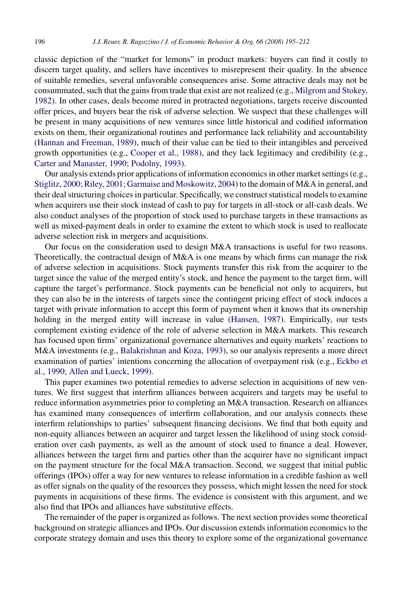classic depiction of the "market for lemons" in product markets: buyers can find it costly to discern target quality, and sellers have incentives to misrepresent their quality. In the absence of suitable remedies, several unfavorable consequences arise. Some attractive deals may not be consummated, such that the gains from trade that exist are not realized (e.g., [Milgrom and Stokey,](#page--1-0) [1982\).](#page--1-0) In other cases, deals become mired in protracted negotiations, targets receive discounted offer prices, and buyers bear the risk of adverse selection. We suspect that these challenges will be present in many acquisitions of new ventures since little historical and codified information exists on them, their organizational routines and performance lack reliability and accountability ([Hannan and Freeman, 1989\),](#page--1-0) much of their value can be tied to their intangibles and perceived growth opportunities (e.g., [Cooper et al., 1988\),](#page--1-0) and they lack legitimacy and credibility (e.g., [Carter and Manaster, 1990; Podolny, 1993\).](#page--1-0)

Our analysis extends prior applications of information economics in other market settings (e.g., [Stiglitz, 2000; Riley, 2001; Garmaise and Moskowitz, 2004\)](#page--1-0) to the domain of M&A in general, and their deal structuring choices in particular. Specifically, we construct statistical models to examine when acquirers use their stock instead of cash to pay for targets in all-stock or all-cash deals. We also conduct analyses of the proportion of stock used to purchase targets in these transactions as well as mixed-payment deals in order to examine the extent to which stock is used to reallocate adverse selection risk in mergers and acquisitions.

Our focus on the consideration used to design M&A transactions is useful for two reasons. Theoretically, the contractual design of M&A is one means by which firms can manage the risk of adverse selection in acquisitions. Stock payments transfer this risk from the acquirer to the target since the value of the merged entity's stock, and hence the payment to the target firm, will capture the target's performance. Stock payments can be beneficial not only to acquirers, but they can also be in the interests of targets since the contingent pricing effect of stock induces a target with private information to accept this form of payment when it knows that its ownership holding in the merged entity will increase in value [\(Hansen, 1987\).](#page--1-0) Empirically, our tests complement existing evidence of the role of adverse selection in M&A markets. This research has focused upon firms' organizational governance alternatives and equity markets' reactions to M&A investments (e.g., [Balakrishnan and Koza, 1993\),](#page--1-0) so our analysis represents a more direct examination of parties' intentions concerning the allocation of overpayment risk (e.g., [Eckbo et](#page--1-0) [al., 1990; Allen and Lueck, 1999\).](#page--1-0)

This paper examines two potential remedies to adverse selection in acquisitions of new ventures. We first suggest that interfirm alliances between acquirers and targets may be useful to reduce information asymmetries prior to completing an M&A transaction. Research on alliances has examined many consequences of interfirm collaboration, and our analysis connects these interfirm relationships to parties' subsequent financing decisions. We find that both equity and non-equity alliances between an acquirer and target lessen the likelihood of using stock consideration over cash payments, as well as the amount of stock used to finance a deal. However, alliances between the target firm and parties other than the acquirer have no significant impact on the payment structure for the focal M&A transaction. Second, we suggest that initial public offerings (IPOs) offer a way for new ventures to release information in a credible fashion as well as offer signals on the quality of the resources they possess, which might lessen the need for stock payments in acquisitions of these firms. The evidence is consistent with this argument, and we also find that IPOs and alliances have substitutive effects.

The remainder of the paper is organized as follows. The next section provides some theoretical background on strategic alliances and IPOs. Our discussion extends information economics to the corporate strategy domain and uses this theory to explore some of the organizational governance